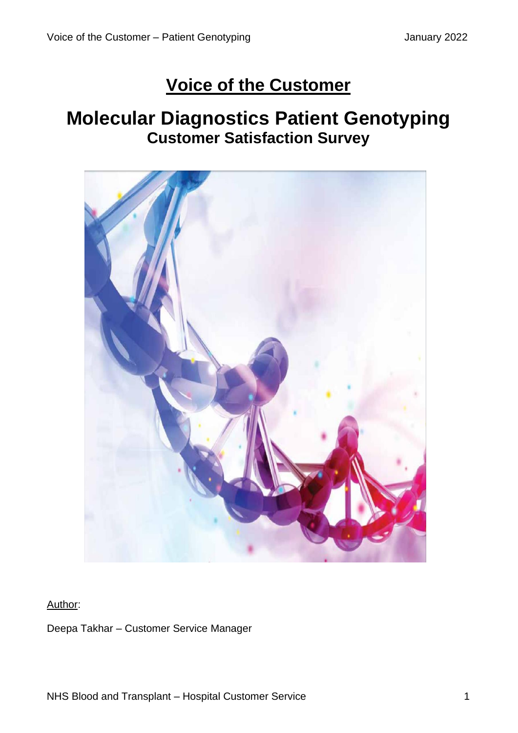# **Voice of the Customer**

# **Molecular Diagnostics Patient Genotyping Customer Satisfaction Survey**



#### Author:

Deepa Takhar – Customer Service Manager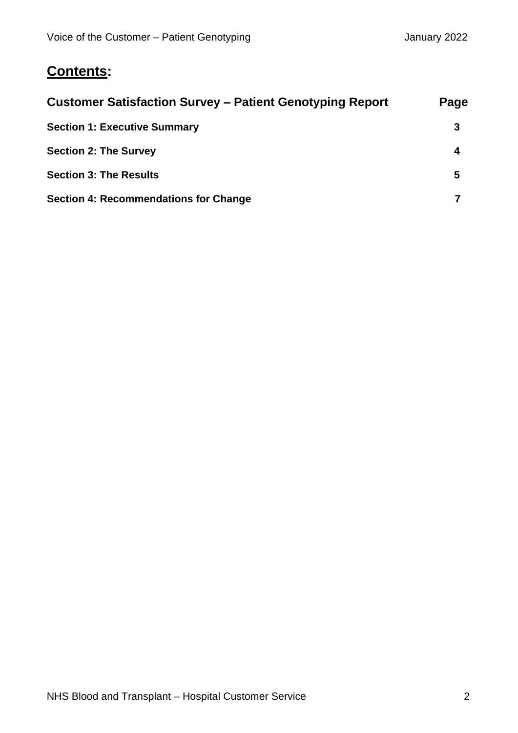### **Contents:**

| <b>Customer Satisfaction Survey – Patient Genotyping Report</b>                                      | Page        |                                              |  |
|------------------------------------------------------------------------------------------------------|-------------|----------------------------------------------|--|
| <b>Section 1: Executive Summary</b><br><b>Section 2: The Survey</b><br><b>Section 3: The Results</b> | 3<br>4<br>5 |                                              |  |
|                                                                                                      |             | <b>Section 4: Recommendations for Change</b> |  |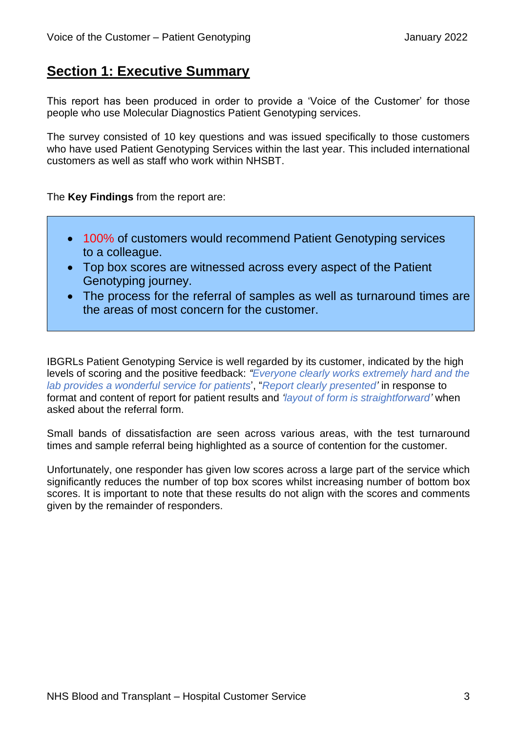### **Section 1: Executive Summary**

This report has been produced in order to provide a 'Voice of the Customer' for those people who use Molecular Diagnostics Patient Genotyping services.

The survey consisted of 10 key questions and was issued specifically to those customers who have used Patient Genotyping Services within the last year. This included international customers as well as staff who work within NHSBT.

The **Key Findings** from the report are:

- 100% of customers would recommend Patient Genotyping services to a colleague.
- Top box scores are witnessed across every aspect of the Patient Genotyping journey.
- The process for the referral of samples as well as turnaround times are the areas of most concern for the customer.

IBGRLs Patient Genotyping Service is well regarded by its customer, indicated by the high levels of scoring and the positive feedback: *"Everyone clearly works extremely hard and the lab provides a wonderful service for patients*', "*Report clearly presented'* in response to format and content of report for patient results and *'layout of form is straightforward'* when asked about the referral form.

Small bands of dissatisfaction are seen across various areas, with the test turnaround times and sample referral being highlighted as a source of contention for the customer.

Unfortunately, one responder has given low scores across a large part of the service which significantly reduces the number of top box scores whilst increasing number of bottom box scores. It is important to note that these results do not align with the scores and comments given by the remainder of responders.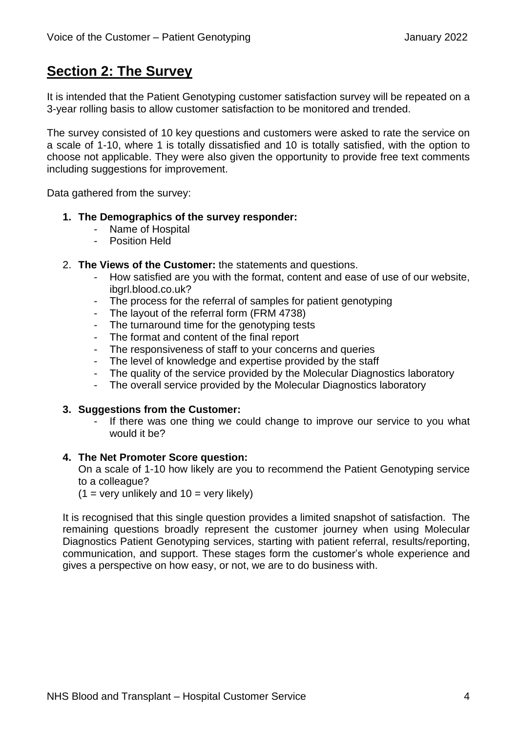### **Section 2: The Survey**

It is intended that the Patient Genotyping customer satisfaction survey will be repeated on a 3-year rolling basis to allow customer satisfaction to be monitored and trended.

The survey consisted of 10 key questions and customers were asked to rate the service on a scale of 1-10, where 1 is totally dissatisfied and 10 is totally satisfied, with the option to choose not applicable. They were also given the opportunity to provide free text comments including suggestions for improvement.

Data gathered from the survey:

#### **1. The Demographics of the survey responder:**

- Name of Hospital
- Position Held
- 2. **The Views of the Customer:** the statements and questions.
	- How satisfied are you with the format, content and ease of use of our website, ibgrl.blood.co.uk?
	- The process for the referral of samples for patient genotyping
	- The layout of the referral form (FRM 4738)
	- The turnaround time for the genotyping tests
	- The format and content of the final report
	- The responsiveness of staff to your concerns and queries
	- The level of knowledge and expertise provided by the staff
	- The quality of the service provided by the Molecular Diagnostics laboratory
	- The overall service provided by the Molecular Diagnostics laboratory

#### **3. Suggestions from the Customer:**

If there was one thing we could change to improve our service to you what would it be?

#### **4. The Net Promoter Score question:**

On a scale of 1-10 how likely are you to recommend the Patient Genotyping service to a colleague?

 $(1 = \text{very unlikely and } 10 = \text{very likely})$ 

It is recognised that this single question provides a limited snapshot of satisfaction. The remaining questions broadly represent the customer journey when using Molecular Diagnostics Patient Genotyping services, starting with patient referral, results/reporting, communication, and support. These stages form the customer's whole experience and gives a perspective on how easy, or not, we are to do business with.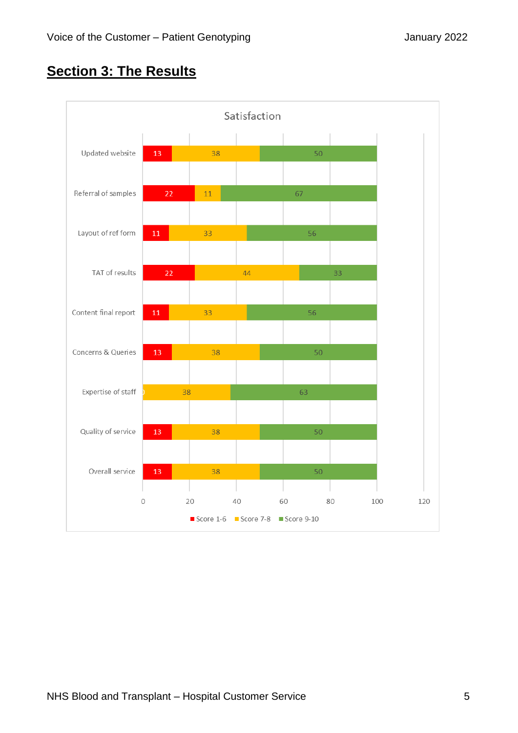## **Section 3: The Results**

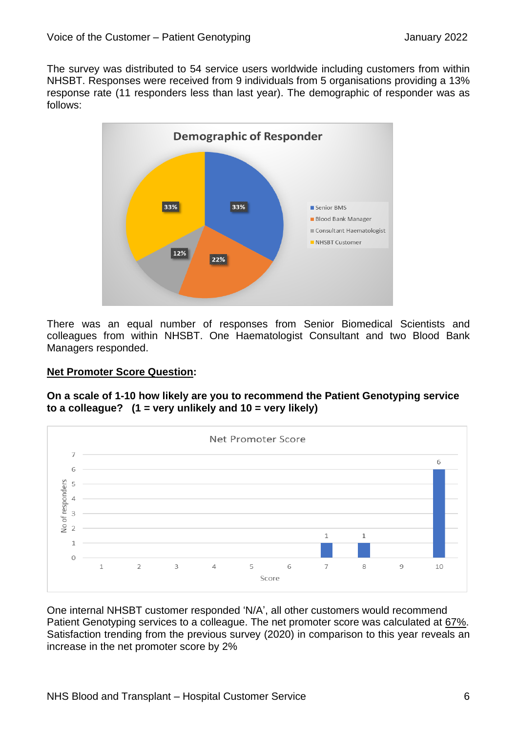The survey was distributed to 54 service users worldwide including customers from within NHSBT. Responses were received from 9 individuals from 5 organisations providing a 13% response rate (11 responders less than last year). The demographic of responder was as follows:



There was an equal number of responses from Senior Biomedical Scientists and colleagues from within NHSBT. One Haematologist Consultant and two Blood Bank Managers responded.

#### **Net Promoter Score Question:**

**On a scale of 1-10 how likely are you to recommend the Patient Genotyping service to a colleague? (1 = very unlikely and 10 = very likely)** 



One internal NHSBT customer responded 'N/A', all other customers would recommend Patient Genotyping services to a colleague. The net promoter score was calculated at 67%. Satisfaction trending from the previous survey (2020) in comparison to this year reveals an increase in the net promoter score by 2%